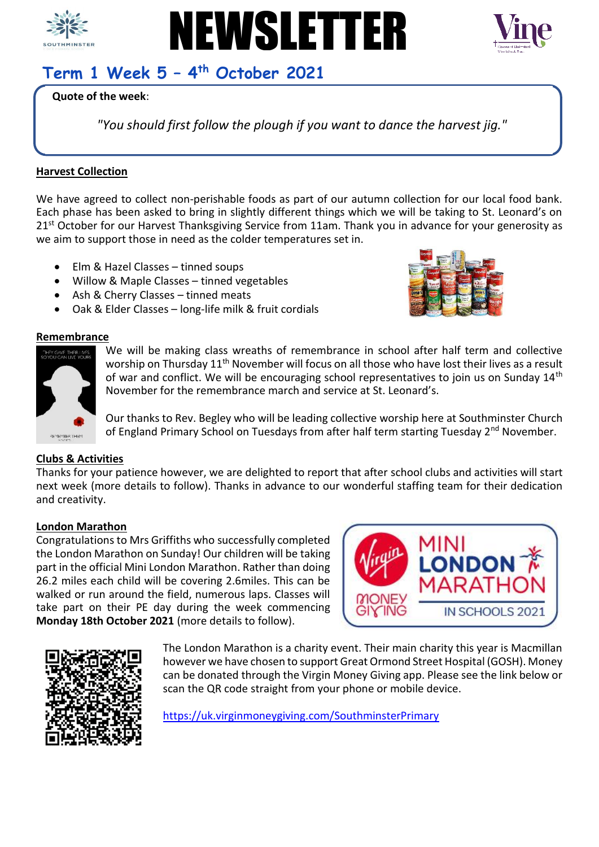





# **Term 1 Week 5 – 4 th October 2021**

# **Quote of the week**:

*"You should first follow the plough if you want to dance the harvest jig."*

## **Harvest Collection**

We have agreed to collect non-perishable foods as part of our autumn collection for our local food bank. Each phase has been asked to bring in slightly different things which we will be taking to St. Leonard's on 21<sup>st</sup> October for our Harvest Thanksgiving Service from 11am. Thank you in advance for your generosity as we aim to support those in need as the colder temperatures set in.

- Elm & Hazel Classes tinned soups
- Willow & Maple Classes tinned vegetables
- Ash & Cherry Classes tinned meats
- Oak & Elder Classes long-life milk & fruit cordials



#### **Remembrance**



We will be making class wreaths of remembrance in school after half term and collective worship on Thursday 11<sup>th</sup> November will focus on all those who have lost their lives as a result of war and conflict. We will be encouraging school representatives to join us on Sunday 14<sup>th</sup> November for the remembrance march and service at St. Leonard's.

Our thanks to Rev. Begley who will be leading collective worship here at Southminster Church of England Primary School on Tuesdays from after half term starting Tuesday 2<sup>nd</sup> November.

## **Clubs & Activities**

Thanks for your patience however, we are delighted to report that after school clubs and activities will start next week (more details to follow). Thanks in advance to our wonderful staffing team for their dedication and creativity.

## **London Marathon**

Congratulations to Mrs Griffiths who successfully completed the London Marathon on Sunday! Our children will be taking part in the official Mini London Marathon. Rather than doing 26.2 miles each child will be covering 2.6miles. This can be walked or run around the field, numerous laps. Classes will take part on their PE day during the week commencing **Monday 18th October 2021** (more details to follow).





The London Marathon is a charity event. Their main charity this year is Macmillan however we have chosen to support Great Ormond Street Hospital (GOSH). Money can be donated through the Virgin Money Giving app. Please see the link below or scan the QR code straight from your phone or mobile device.

<https://uk.virginmoneygiving.com/SouthminsterPrimary>